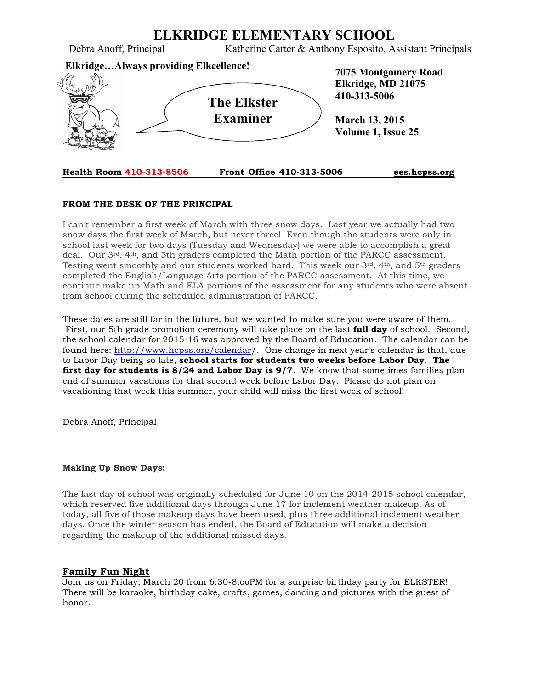

#### **FROM THE DESK OF THE PRINCIPAL**

I can't remember a first week of March with three snow days. Last year we actually had two snow days the first week of March, but never three! Even though the students were only in school last week for two days (Tuesday and Wednesday) we were able to accomplish a great deal. Our  $3<sup>rd</sup>$ , 4<sup>th</sup>, and 5th graders completed the Math portion of the PARCC assessment. Testing went smoothly and our students worked hard. This week our  $3^{rd}$ ,  $4^{th}$ , and  $5^{th}$  graders completed the English/Language Arts portion of the PARCC assessment. At this time, we continue make up Math and ELA portions of the assessment for any students who were absent from school during the scheduled administration of PARCC.

These dates are still far in the future, but we wanted to make sure you were aware of them. First, our 5th grade promotion ceremony will take place on the last **full day** of school. Second, the school calendar for 2015-16 was approved by the Board of Education. The calendar can be found here: http://www.hcpss.org/calendar/. One change in next year's calendar is that, due to Labor Day being so late, **school starts for students two weeks before Labor Day**. **The first day for students is 8/24 and Labor Day is 9/7**. We know that sometimes families plan end of summer vacations for that second week before Labor Day. Please do not plan on vacationing that week this summer, your child will miss the first week of school!

Debra Anoff, Principal

#### **Making Up Snow Days:**

The last day of school was originally scheduled for June 10 on the 2014-2015 school calendar, which reserved five additional days through June 17 for inclement weather makeup. As of today, all five of those makeup days have been used, plus three additional inclement weather days. Once the winter season has ended, the Board of Education will make a decision regarding the makeup of the additional missed days.

#### **Family Fun Night**

Join us on Friday, March 20 from 6:30-8:ooPM for a surprise birthday party for ELKSTER! There will be karaoke, birthday cake, crafts, games, dancing and pictures with the guest of honor.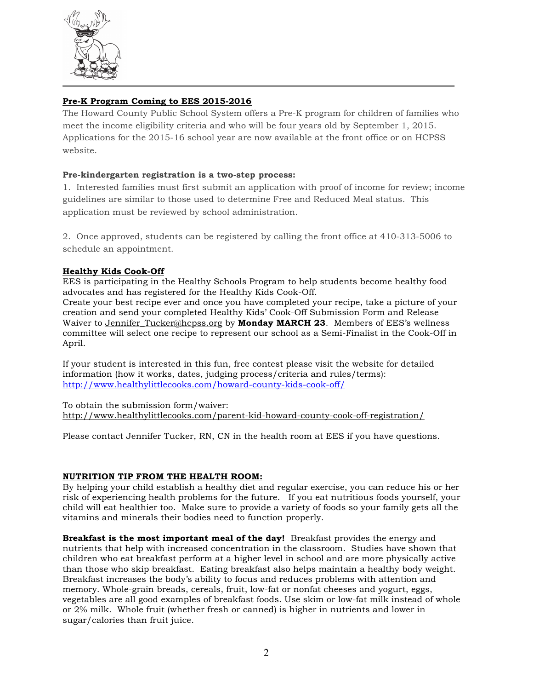

# **Pre-K Program Coming to EES 2015-2016**

The Howard County Public School System offers a Pre-K program for children of families who meet the income eligibility criteria and who will be four years old by September 1, 2015. Applications for the 2015-16 school year are now available at the front office or on HCPSS website.

# **Pre-kindergarten registration is a two-step process:**

1. Interested families must first submit an application with proof of income for review; income guidelines are similar to those used to determine Free and Reduced Meal status. This application must be reviewed by school administration.

2. Once approved, students can be registered by calling the front office at 410-313-5006 to schedule an appointment.

# **Healthy Kids Cook-Off**

EES is participating in the Healthy Schools Program to help students become healthy food advocates and has registered for the Healthy Kids Cook-Off.

Create your best recipe ever and once you have completed your recipe, take a picture of your creation and send your completed Healthy Kids' Cook-Off Submission Form and Release Waiver to Jennifer\_Tucker@hcpss.org by **Monday MARCH 23**. Members of EES's wellness committee will select one recipe to represent our school as a Semi-Finalist in the Cook-Off in April.

If your student is interested in this fun, free contest please visit the website for detailed information (how it works, dates, judging process/criteria and rules/terms): http://www.healthylittlecooks.com/howard-county-kids-cook-off/

To obtain the submission form/waiver: http://www.healthylittlecooks.com/parent-kid-howard-county-cook-off-registration/

Please contact Jennifer Tucker, RN, CN in the health room at EES if you have questions.

#### **NUTRITION TIP FROM THE HEALTH ROOM:**

By helping your child establish a healthy diet and regular exercise, you can reduce his or her risk of experiencing health problems for the future. If you eat nutritious foods yourself, your child will eat healthier too. Make sure to provide a variety of foods so your family gets all the vitamins and minerals their bodies need to function properly.

**Breakfast is the most important meal of the day!** Breakfast provides the energy and nutrients that help with increased concentration in the classroom. Studies have shown that children who eat breakfast perform at a higher level in school and are more physically active than those who skip breakfast. Eating breakfast also helps maintain a healthy body weight. Breakfast increases the body's ability to focus and reduces problems with attention and memory. Whole-grain breads, cereals, fruit, low-fat or nonfat cheeses and yogurt, eggs, vegetables are all good examples of breakfast foods. Use skim or low-fat milk instead of whole or 2% milk. Whole fruit (whether fresh or canned) is higher in nutrients and lower in sugar/calories than fruit juice.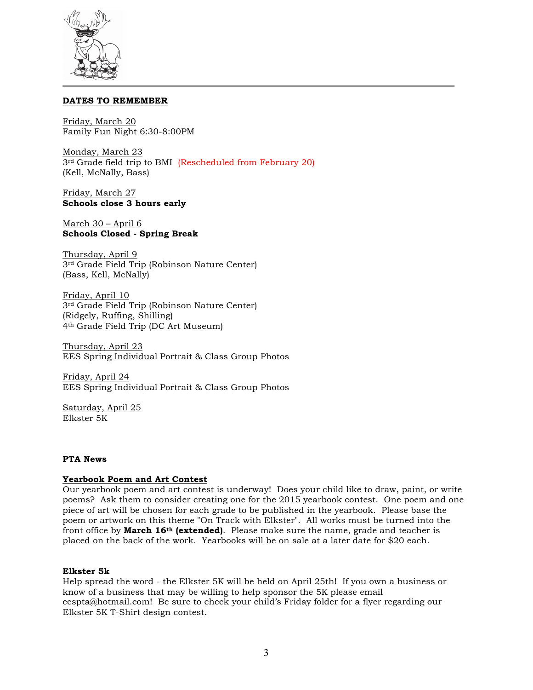

#### **DATES TO REMEMBER**

Friday, March 20 Family Fun Night 6:30-8:00PM

Monday, March 23 3<sup>rd</sup> Grade field trip to BMI (Rescheduled from February 20) (Kell, McNally, Bass)

Friday, March 27 **Schools close 3 hours early**

March 30 – April 6 **Schools Closed - Spring Break** 

Thursday, April 9 3rd Grade Field Trip (Robinson Nature Center) (Bass, Kell, McNally)

Friday, April 10 3rd Grade Field Trip (Robinson Nature Center) (Ridgely, Ruffing, Shilling) 4th Grade Field Trip (DC Art Museum)

Thursday, April 23 EES Spring Individual Portrait & Class Group Photos

Friday, April 24 EES Spring Individual Portrait & Class Group Photos

Saturday, April 25 Elkster 5K

#### **PTA News**

#### **Yearbook Poem and Art Contest**

Our yearbook poem and art contest is underway! Does your child like to draw, paint, or write poems? Ask them to consider creating one for the 2015 yearbook contest. One poem and one piece of art will be chosen for each grade to be published in the yearbook. Please base the poem or artwork on this theme "On Track with Elkster". All works must be turned into the front office by **March 16th (extended)**. Please make sure the name, grade and teacher is placed on the back of the work. Yearbooks will be on sale at a later date for \$20 each.

#### **Elkster 5k**

Help spread the word - the Elkster 5K will be held on April 25th! If you own a business or know of a business that may be willing to help sponsor the 5K please email eespta@hotmail.com! Be sure to check your child's Friday folder for a flyer regarding our Elkster 5K T-Shirt design contest.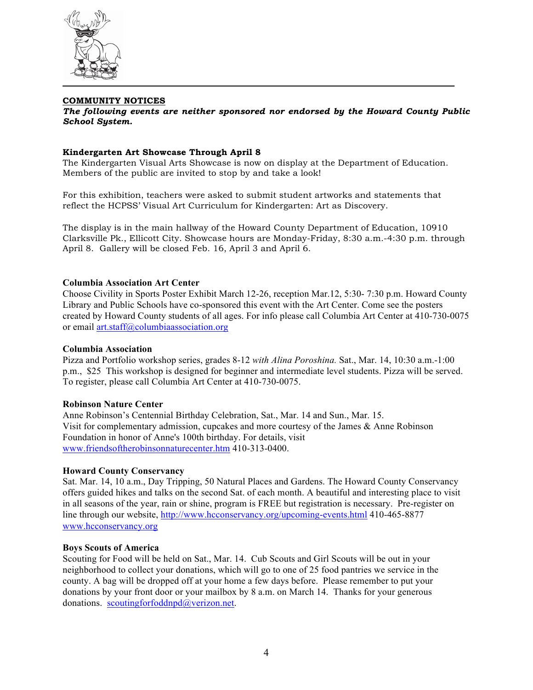

#### **COMMUNITY NOTICES**

*The following events are neither sponsored nor endorsed by the Howard County Public School System.*

#### **Kindergarten Art Showcase Through April 8**

The Kindergarten Visual Arts Showcase is now on display at the Department of Education. Members of the public are invited to stop by and take a look!

For this exhibition, teachers were asked to submit student artworks and statements that reflect the HCPSS' Visual Art Curriculum for Kindergarten: Art as Discovery.

The display is in the main hallway of the Howard County Department of Education, 10910 Clarksville Pk., Ellicott City. Showcase hours are Monday-Friday, 8:30 a.m.-4:30 p.m. through April 8. Gallery will be closed Feb. 16, April 3 and April 6.

#### **Columbia Association Art Center**

Choose Civility in Sports Poster Exhibit March 12-26, reception Mar.12, 5:30- 7:30 p.m. Howard County Library and Public Schools have co-sponsored this event with the Art Center. Come see the posters created by Howard County students of all ages. For info please call Columbia Art Center at 410-730-0075 or email art.staff@columbiaassociation.org

#### **Columbia Association**

Pizza and Portfolio workshop series, grades 8-12 *with Alina Poroshina.* Sat., Mar. 14, 10:30 a.m.-1:00 p.m., \$25 This workshop is designed for beginner and intermediate level students. Pizza will be served. To register, please call Columbia Art Center at 410-730-0075.

#### **Robinson Nature Center**

Anne Robinson's Centennial Birthday Celebration, Sat., Mar. 14 and Sun., Mar. 15. Visit for complementary admission, cupcakes and more courtesy of the James & Anne Robinson Foundation in honor of Anne's 100th birthday. For details, visit www.friendsoftherobinsonnaturecenter.htm 410-313-0400.

#### **Howard County Conservancy**

Sat. Mar. 14, 10 a.m., Day Tripping, 50 Natural Places and Gardens. The Howard County Conservancy offers guided hikes and talks on the second Sat. of each month. A beautiful and interesting place to visit in all seasons of the year, rain or shine, program is FREE but registration is necessary. Pre-register on line through our website, http://www.hcconservancy.org/upcoming-events.html 410-465-8877 www.hcconservancy.org

#### **Boys Scouts of America**

Scouting for Food will be held on Sat., Mar. 14. Cub Scouts and Girl Scouts will be out in your neighborhood to collect your donations, which will go to one of 25 food pantries we service in the county. A bag will be dropped off at your home a few days before. Please remember to put your donations by your front door or your mailbox by 8 a.m. on March 14. Thanks for your generous donations. scoutingforfoddnpd@verizon.net.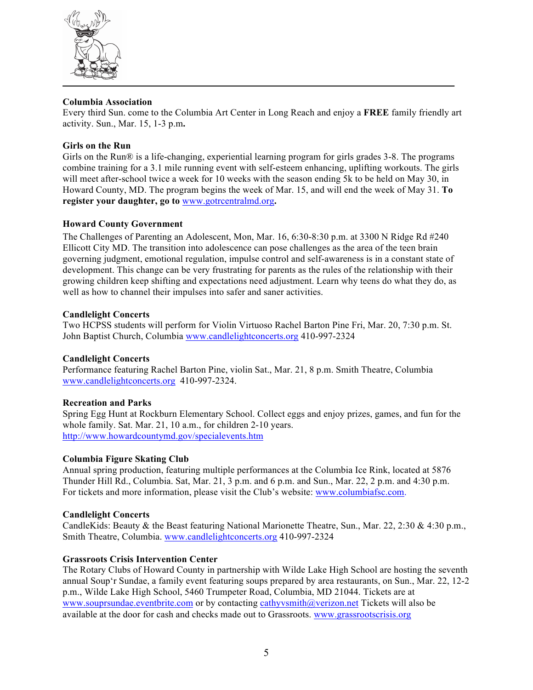

#### **Columbia Association**

Every third Sun. come to the Columbia Art Center in Long Reach and enjoy a **FREE** family friendly art activity. Sun., Mar. 15, 1-3 p.m**.**

# **Girls on the Run**

Girls on the Run® is a life-changing, experiential learning program for girls grades 3-8. The programs combine training for a 3.1 mile running event with self-esteem enhancing, uplifting workouts. The girls will meet after-school twice a week for 10 weeks with the season ending 5k to be held on May 30, in Howard County, MD. The program begins the week of Mar. 15, and will end the week of May 31. **To register your daughter, go to** www.gotrcentralmd.org**.**

# **Howard County Government**

The Challenges of Parenting an Adolescent, Mon, Mar. 16, 6:30-8:30 p.m. at 3300 N Ridge Rd #240 Ellicott City MD. The transition into adolescence can pose challenges as the area of the teen brain governing judgment, emotional regulation, impulse control and self-awareness is in a constant state of development. This change can be very frustrating for parents as the rules of the relationship with their growing children keep shifting and expectations need adjustment. Learn why teens do what they do, as well as how to channel their impulses into safer and saner activities.

#### **Candlelight Concerts**

Two HCPSS students will perform for Violin Virtuoso Rachel Barton Pine Fri, Mar. 20, 7:30 p.m. St. John Baptist Church, Columbia www.candlelightconcerts.org 410-997-2324

#### **Candlelight Concerts**

Performance featuring Rachel Barton Pine, violin Sat., Mar. 21, 8 p.m. Smith Theatre, Columbia www.candlelightconcerts.org 410-997-2324.

#### **Recreation and Parks**

Spring Egg Hunt at Rockburn Elementary School. Collect eggs and enjoy prizes, games, and fun for the whole family. Sat. Mar. 21, 10 a.m., for children 2-10 years. http://www.howardcountymd.gov/specialevents.htm

#### **Columbia Figure Skating Club**

Annual spring production, featuring multiple performances at the Columbia Ice Rink, located at 5876 Thunder Hill Rd., Columbia. Sat, Mar. 21, 3 p.m. and 6 p.m. and Sun., Mar. 22, 2 p.m. and 4:30 p.m. For tickets and more information, please visit the Club's website: www.columbiafsc.com.

#### **Candlelight Concerts**

CandleKids: Beauty & the Beast featuring National Marionette Theatre, Sun., Mar. 22, 2:30 & 4:30 p.m., Smith Theatre, Columbia. www.candlelightconcerts.org 410-997-2324

# **Grassroots Crisis Intervention Center**

The Rotary Clubs of Howard County in partnership with Wilde Lake High School are hosting the seventh annual Soup'r Sundae, a family event featuring soups prepared by area restaurants, on Sun., Mar. 22, 12-2 p.m., Wilde Lake High School, 5460 Trumpeter Road, Columbia, MD 21044. Tickets are at www.souprsundae.eventbrite.com or by contacting cathyvsmith@verizon.net Tickets will also be available at the door for cash and checks made out to Grassroots. www.grassrootscrisis.org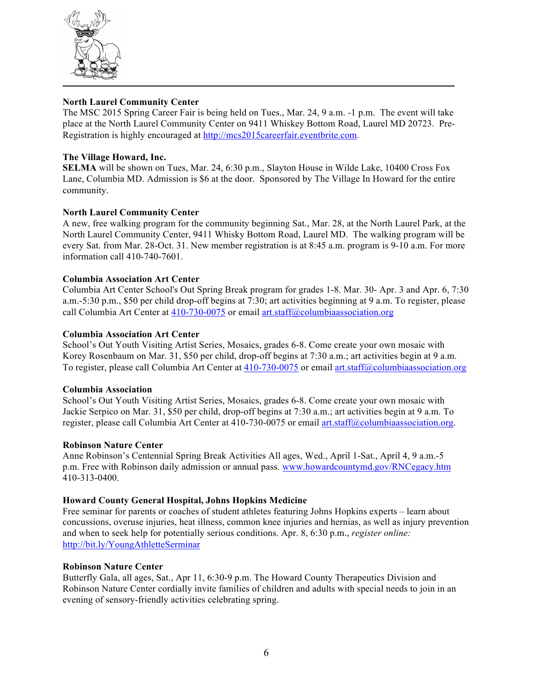

#### **North Laurel Community Center**

The MSC 2015 Spring Career Fair is being held on Tues., Mar. 24, 9 a.m. -1 p.m. The event will take place at the North Laurel Community Center on 9411 Whiskey Bottom Road, Laurel MD 20723. Pre-Registration is highly encouraged at http://mcs2015careerfair.eventbrite.com.

# **The Village Howard, Inc.**

**SELMA** will be shown on Tues, Mar. 24, 6:30 p.m., Slayton House in Wilde Lake, 10400 Cross Fox Lane, Columbia MD. Admission is \$6 at the door. Sponsored by The Village In Howard for the entire community.

# **North Laurel Community Center**

A new, free walking program for the community beginning Sat., Mar. 28, at the North Laurel Park, at the North Laurel Community Center, 9411 Whisky Bottom Road, Laurel MD. The walking program will be every Sat. from Mar. 28-Oct. 31. New member registration is at 8:45 a.m. program is 9-10 a.m. For more information call 410-740-7601.

# **Columbia Association Art Center**

Columbia Art Center School's Out Spring Break program for grades 1-8. Mar. 30- Apr. 3 and Apr. 6, 7:30 a.m.-5:30 p.m., \$50 per child drop-off begins at 7:30; art activities beginning at 9 a.m. To register, please call Columbia Art Center at 410-730-0075 or email art.staff@columbiaassociation.org

#### **Columbia Association Art Center**

School's Out Youth Visiting Artist Series, Mosaics, grades 6-8. Come create your own mosaic with Korey Rosenbaum on Mar. 31, \$50 per child, drop-off begins at 7:30 a.m.; art activities begin at 9 a.m. To register, please call Columbia Art Center at 410-730-0075 or email art.staff@columbiaassociation.org

#### **Columbia Association**

School's Out Youth Visiting Artist Series, Mosaics, grades 6-8. Come create your own mosaic with Jackie Serpico on Mar. 31, \$50 per child, drop-off begins at 7:30 a.m.; art activities begin at 9 a.m. To register, please call Columbia Art Center at 410-730-0075 or email art.staff@columbiaassociation.org.

#### **Robinson Nature Center**

Anne Robinson's Centennial Spring Break Activities All ages, Wed., April 1-Sat., April 4, 9 a.m.-5 p.m. Free with Robinson daily admission or annual pass. www.howardcountymd.gov/RNCegacy.htm 410-313-0400.

#### **Howard County General Hospital, Johns Hopkins Medicine**

Free seminar for parents or coaches of student athletes featuring Johns Hopkins experts – learn about concussions, overuse injuries, heat illness, common knee injuries and hernias, as well as injury prevention and when to seek help for potentially serious conditions. Apr. 8, 6:30 p.m., *register online:*  http://bit.ly/YoungAthletteSerminar

#### **Robinson Nature Center**

Butterfly Gala, all ages, Sat., Apr 11, 6:30-9 p.m. The Howard County Therapeutics Division and Robinson Nature Center cordially invite families of children and adults with special needs to join in an evening of sensory-friendly activities celebrating spring.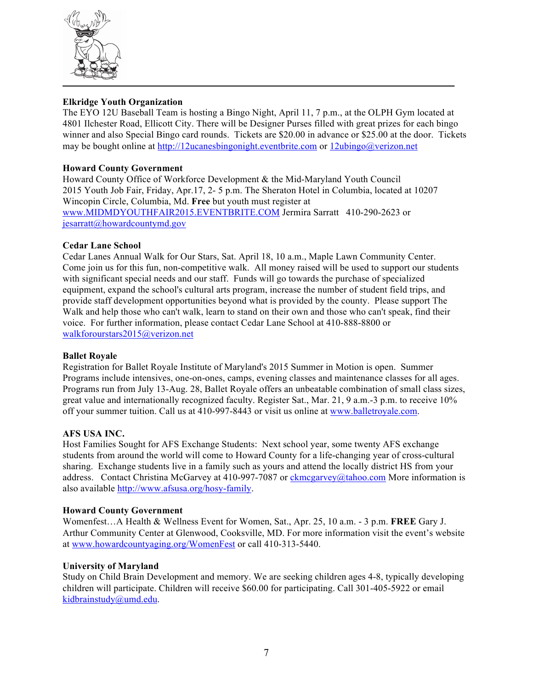

# **Elkridge Youth Organization**

The EYO 12U Baseball Team is hosting a Bingo Night, April 11, 7 p.m., at the OLPH Gym located at 4801 Ilchester Road, Ellicott City. There will be Designer Purses filled with great prizes for each bingo winner and also Special Bingo card rounds. Tickets are \$20.00 in advance or \$25.00 at the door. Tickets may be bought online at http://12ucanesbingonight.eventbrite.com or 12ubingo@verizon.net

# **Howard County Government**

Howard County Office of Workforce Development & the Mid-Maryland Youth Council 2015 Youth Job Fair, Friday, Apr.17, 2- 5 p.m. The Sheraton Hotel in Columbia, located at 10207 Wincopin Circle, Columbia, Md. **Free** but youth must register at www.MIDMDYOUTHFAIR2015.EVENTBRITE.COM Jermira Sarratt 410-290-2623 or jesarratt@howardcountymd.gov

#### **Cedar Lane School**

Cedar Lanes Annual Walk for Our Stars, Sat. April 18, 10 a.m., Maple Lawn Community Center. Come join us for this fun, non-competitive walk. All money raised will be used to support our students with significant special needs and our staff. Funds will go towards the purchase of specialized equipment, expand the school's cultural arts program, increase the number of student field trips, and provide staff development opportunities beyond what is provided by the county. Please support The Walk and help those who can't walk, learn to stand on their own and those who can't speak, find their voice. For further information, please contact Cedar Lane School at 410-888-8800 or walkforourstars2015@verizon.net

#### **Ballet Royale**

Registration for Ballet Royale Institute of Maryland's 2015 Summer in Motion is open. Summer Programs include intensives, one-on-ones, camps, evening classes and maintenance classes for all ages. Programs run from July 13-Aug. 28, Ballet Royale offers an unbeatable combination of small class sizes, great value and internationally recognized faculty. Register Sat., Mar. 21, 9 a.m.-3 p.m. to receive 10% off your summer tuition. Call us at 410-997-8443 or visit us online at www.balletroyale.com.

#### **AFS USA INC.**

Host Families Sought for AFS Exchange Students: Next school year, some twenty AFS exchange students from around the world will come to Howard County for a life-changing year of cross-cultural sharing. Exchange students live in a family such as yours and attend the locally district HS from your address. Contact Christina McGarvey at 410-997-7087 or ckmcgarvey@tahoo.com More information is also available http://www.afsusa.org/hosy-family.

#### **Howard County Government**

Womenfest…A Health & Wellness Event for Women, Sat., Apr. 25, 10 a.m. - 3 p.m. **FREE** Gary J. Arthur Community Center at Glenwood, Cooksville, MD. For more information visit the event's website at www.howardcountyaging.org/WomenFest or call 410-313-5440.

#### **University of Maryland**

Study on Child Brain Development and memory. We are seeking children ages 4-8, typically developing children will participate. Children will receive \$60.00 for participating. Call 301-405-5922 or email kidbrainstudy@umd.edu.